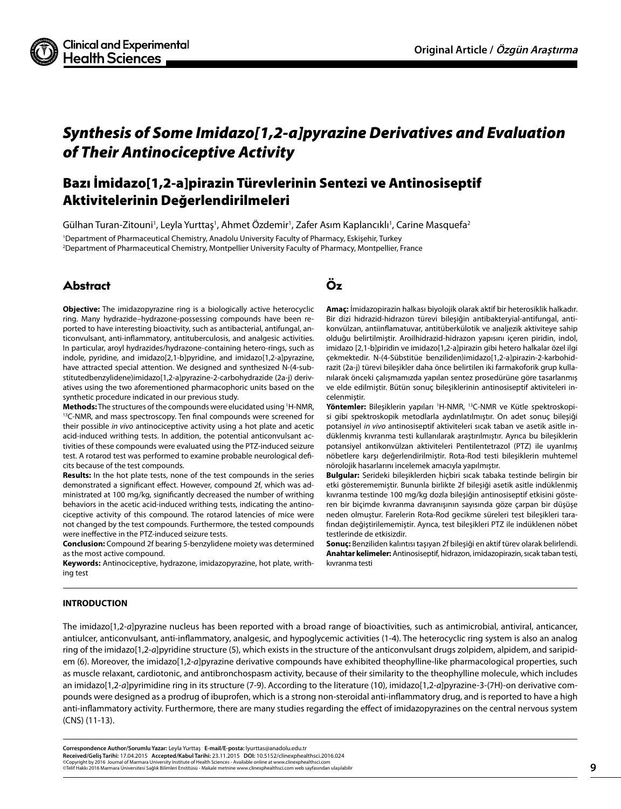

# *Synthesis of Some Imidazo[1,2-a]pyrazine Derivatives and Evaluation of Their Antinociceptive Activity*

# Bazı İmidazo[1,2-a]pirazin Türevlerinin Sentezi ve Antinosiseptif Aktivitelerinin Değerlendirilmeleri

Gülhan Turan-Zitouni<sup>1</sup>, Leyla Yurttaş<sup>1</sup>, Ahmet Özdemir<sup>1</sup>, Zafer Asım Kaplancıklı<sup>1</sup>, Carine Masquefa<sup>2</sup> 1 Department of Pharmaceutical Chemistry, Anadolu University Faculty of Pharmacy, Eskişehir, Turkey 2 Department of Pharmaceutical Chemistry, Montpellier University Faculty of Pharmacy, Montpellier, France

# Abstract Öz

**Objective:** The imidazopyrazine ring is a biologically active heterocyclic ring. Many hydrazide–hydrazone-possessing compounds have been reported to have interesting bioactivity, such as antibacterial, antifungal, anticonvulsant, anti-inflammatory, antituberculosis, and analgesic activities. In particular, aroyl hydrazides/hydrazone-containing hetero-rings, such as indole, pyridine, and imidazo[2,1-b]pyridine, and imidazo[1,2-a]pyrazine, have attracted special attention. We designed and synthesized N-(4-substitutedbenzylidene)imidazo[1,2-a]pyrazine-2-carbohydrazide (2a-j) derivatives using the two aforementioned pharmacophoric units based on the synthetic procedure indicated in our previous study.

**Methods:** The structures of the compounds were elucidated using 1 <sup>13</sup>C-NMR, and mass spectroscopy. Ten final compounds were screened for their possible *in vivo* antinociceptive activity using a hot plate and acetic acid-induced writhing tests. In addition, the potential anticonvulsant activities of these compounds were evaluated using the PTZ-induced seizure test. A rotarod test was performed to examine probable neurological deficits because of the test compounds.

**Results:** In the hot plate tests, none of the test compounds in the series demonstrated a significant effect. However, compound 2f, which was administrated at 100 mg/kg, significantly decreased the number of writhing behaviors in the acetic acid-induced writhing tests, indicating the antinociceptive activity of this compound. The rotarod latencies of mice were not changed by the test compounds. Furthermore, the tested compounds were ineffective in the PTZ-induced seizure tests.

**Conclusion:** Compound 2f bearing 5-benzylidene moiety was determined as the most active compound.

**Keywords:** Antinociceptive, hydrazone, imidazopyrazine, hot plate, writhing test

**Amaç:** İmidazopirazin halkası biyolojik olarak aktif bir heterosiklik halkadır. Bir dizi hidrazid-hidrazon türevi bileşiğin antibakteryial-antifungal, antikonvülzan, antiinflamatuvar, antitüberkülotik ve analjezik aktiviteye sahip olduğu belirtilmiştir. Aroilhidrazid-hidrazon yapısını içeren piridin, indol, imidazo [2,1-b]piridin ve imidazo[1,2-a]pirazin gibi hetero halkalar özel ilgi çekmektedir. N-(4-Sübstitüe benziliden)imidazo[1,2-a]pirazin-2-karbohidrazit (2a-j) türevi bileşikler daha önce belirtilen iki farmakoforik grup kullanılarak önceki çalışmamızda yapılan sentez prosedürüne göre tasarlanmış ve elde edilmiştir. Bütün sonuç bileşiklerinin antinosiseptif aktiviteleri incelenmiştir.

Yöntemler: Bileşiklerin yapıları <sup>1</sup>H-NMR, <sup>13</sup>C-NMR ve Kütle spektroskopisi gibi spektroskopik metodlarla aydınlatılmıştır. On adet sonuç bileşiği potansiyel *in vivo* antinosiseptif aktiviteleri sıcak taban ve asetik asitle indüklenmiş kıvranma testi kullanılarak araştırılmıştır. Ayrıca bu bileşiklerin potansiyel antikonvülzan aktiviteleri Pentilentetrazol (PTZ) ile uyarılmış nöbetlere karşı değerlendirilmiştir. Rota-Rod testi bileşiklerin muhtemel nörolojik hasarlarını incelemek amacıyla yapılmıştır.

**Bulgular:** Serideki bileşiklerden hiçbiri sıcak tabaka testinde belirgin bir etki gösterememiştir. Bununla birlikte 2f bileşiği asetik asitle indüklenmiş kıvranma testinde 100 mg/kg dozla bileşiğin antinosiseptif etkisini gösteren bir biçimde kıvranma davranışının sayısında göze çarpan bir düşüşe neden olmuştur. Farelerin Rota-Rod gecikme süreleri test bileşikleri tarafından değiştirilememiştir. Ayrıca, test bileşikleri PTZ ile indüklenen nöbet testlerinde de etkisizdir.

**Sonuç:** Benziliden kalıntısı taşıyan 2f bileşiği en aktif türev olarak belirlendi. **Anahtar kelimeler:** Antinosiseptif, hidrazon, imidazopirazin, sıcak taban testi, kıvranma testi

# **INTRODUCTION**

The imidazo[1,2-*a*]pyrazine nucleus has been reported with a broad range of bioactivities, such as antimicrobial, antiviral, anticancer, antiulcer, anticonvulsant, anti-inflammatory, analgesic, and hypoglycemic activities (1-4). The heterocyclic ring system is also an analog ring of the imidazo[1,2-*a*]pyridine structure (5), which exists in the structure of the anticonvulsant drugs zolpidem, alpidem, and saripidem (6). Moreover, the imidazo[1,2-*a*]pyrazine derivative compounds have exhibited theophylline-like pharmacological properties, such as muscle relaxant, cardiotonic, and antibronchospasm activity, because of their similarity to the theophylline molecule, which includes an imidazo[1,2-*a*]pyrimidine ring in its structure (7-9). According to the literature (10), imidazo[1,2-*a*]pyrazine-3-(7H)-on derivative compounds were designed as a prodrug of ibuprofen, which is a strong non-steroidal anti-inflammatory drug, and is reported to have a high anti-inflammatory activity. Furthermore, there are many studies regarding the effect of imidazopyrazines on the central nervous system (CNS) (11-13).

**Correspondence Author/Sorumlu Yazar:** Leyla Yurttaş **E-mail/E-posta:** lyurttas@anadolu.edu.tr **Received/Geliş Tarihi:** 17.04.2015 **Accepted/Kabul Tarihi:** 23.11.2015 **DOI:** 10.5152/clinexphealthsci.2016.024 ©Copyright by 2016 Journal of Marmara University Institute of Health Sciences - Available online at www.clinexphealthsci.com<br>©Telif Hakkı 2016 Marmara Üniversitesi Sağlık Bilimleri Enstitüsü - Makale metnine www.clinexphea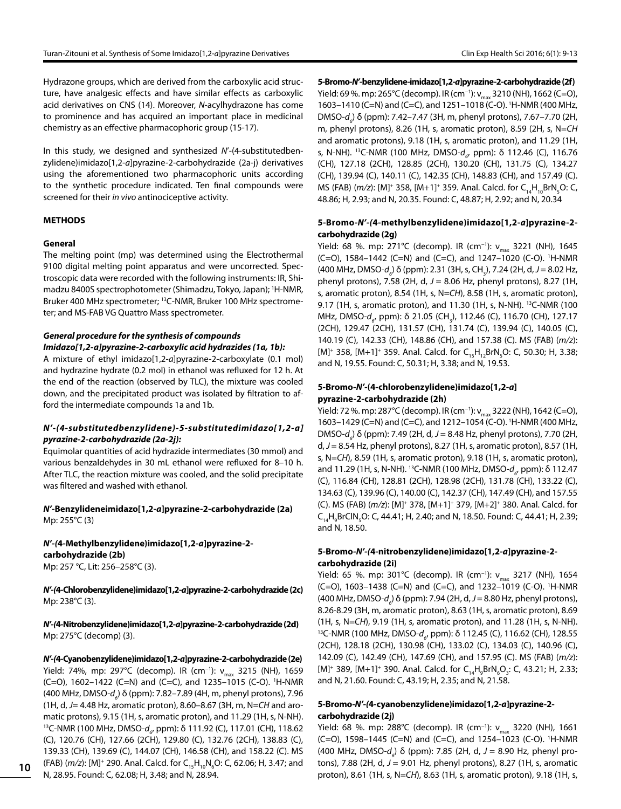Hydrazone groups, which are derived from the carboxylic acid structure, have analgesic effects and have similar effects as carboxylic acid derivatives on CNS (14). Moreover, *N*-acylhydrazone has come to prominence and has acquired an important place in medicinal chemistry as an effective pharmacophoric group (15-17).

In this study, we designed and synthesized *N*'-(4-substitutedbenzylidene)imidazo[1,2-*a*]pyrazine-2-carbohydrazide (2a-j) derivatives using the aforementioned two pharmacophoric units according to the synthetic procedure indicated. Ten final compounds were screened for their *in vivo* antinociceptive activity.

# **METHODS**

### **General**

The melting point (mp) was determined using the Electrothermal 9100 digital melting point apparatus and were uncorrected. Spectroscopic data were recorded with the following instruments: IR, Shimadzu 8400S spectrophotometer (Shimadzu, Tokyo, Japan); 1 H-NMR, Bruker 400 MHz spectrometer; 13C-NMR, Bruker 100 MHz spectrometer; and MS-FAB VG Quattro Mass spectrometer.

# *General procedure for the synthesis of compounds Imidazo[1,2-a]pyrazine-2-carboxylic acid hydrazides (1a, 1b):*

A mixture of ethyl imidazo[1,2-*a*]pyrazine-2-carboxylate (0.1 mol) and hydrazine hydrate (0.2 mol) in ethanol was refluxed for 12 h. At the end of the reaction (observed by TLC), the mixture was cooled down, and the precipitated product was isolated by filtration to afford the intermediate compounds 1a and 1b.

# *N'-(4-substitutedbenzylidene)-5-substitutedimidazo[1,2-a] pyrazine-2-carbohydrazide (2a-2j):*

Equimolar quantities of acid hydrazide intermediates (30 mmol) and various benzaldehydes in 30 mL ethanol were refluxed for 8–10 h. After TLC, the reaction mixture was cooled, and the solid precipitate was filtered and washed with ethanol.

*N'-***Benzylideneimidazo[1,2-***a***]pyrazine-2-carbohydrazide (2a)** Mp: 255°C (3)

*N'-(***4-Methylbenzylidene)imidazo[1,2-***a***]pyrazine-2 carbohydrazide (2b)** Mp: 257 °C, Lit: 256–258°C (3).

*N'-(***4-Chlorobenzylidene)imidazo[1,2-***a***]pyrazine-2-carbohydrazide (2c)** Mp: 238°C (3).

*N'-(***4-Nitrobenzylidene)imidazo[1,2-***a***]pyrazine-2-carbohydrazide (2d)** Mp: 275°C (decomp) (3).

*N'-(***4-Cyanobenzylidene)imidazo[1,2-***a***]pyrazine-2-carbohydrazide (2e)** Yield: 74%, mp: 297°C (decomp). IR (cm<sup>−1</sup>): ν<sub>max</sub> 3215 (NH), 1659 (C=O), 1602–1422 (C=N) and (C=C), and 1235–1015 (C-O). 1 H-NMR (400 MHz, DMSO-*d<sub>。</sub>) δ (ppm): 7.82–7.89 (4H, m, phenyl protons), 7.96* (1H, d, *J*= 4.48 Hz, aromatic proton), 8.60–8.67 (3H, m, N=*CH* and aromatic protons), 9.15 (1H, s, aromatic proton), and 11.29 (1H, s, N-NH). <sup>13</sup>C-NMR (100 MHz, DMSO-*d<sub>6</sub>,* ppm): δ 111.92 (C), 117.01 (CH), 118.62 (C), 120.76 (CH), 127.66 (2CH), 129.80 (C), 132.76 (2CH), 138.83 (C), 139.33 (CH), 139.69 (C), 144.07 (CH), 146.58 (CH), and 158.22 (C). MS (FAB) (*m/z*): [M]<sup>+</sup> 290. Anal. Calcd. for C<sub>15</sub>H<sub>10</sub>N<sub>6</sub>O: C, 62.06; H, 3.47; and N, 28.95. Found: C, 62.08; H, 3.48; and N, 28.94.

**5-Bromo***-N'-***benzylidene-imidazo[1,2-***a***]pyrazine-2-carbohydrazide (2f)** Yield: 69 %. mp: 265°C (decomp). IR (cm<sup>-1</sup>):  $v_{max}$  3210 (NH), 1662 (C=O), 1603–1410 (C=N) and (C=C), and 1251–1018 (C-O). 1 H-NMR (400 MHz, DMSO-*d6* ) δ (ppm): 7.42–7.47 (3H, m, phenyl protons), 7.67–7.70 (2H, m, phenyl protons), 8.26 (1H, s, aromatic proton), 8.59 (2H, s, N=*CH* and aromatic protons), 9.18 (1H, s, aromatic proton), and 11.29 (1H, s, N-NH). <sup>13</sup>C-NMR (100 MHz, DMSO- $d_{_{6'}}$  ppm): δ 112.46 (C), 116.76 (CH), 127.18 (2CH), 128.85 (2CH), 130.20 (CH), 131.75 (C), 134.27 (CH), 139.94 (C), 140.11 (C), 142.35 (CH), 148.83 (CH), and 157.49 (C). MS (FAB) (*m/z*): [M]<sup>+</sup> 358, [M+1]<sup>+</sup> 359. Anal. Calcd. for C<sub>14</sub>H<sub>10</sub>BrN<sub>5</sub>O: C, 48.86; H, 2.93; and N, 20.35. Found: C, 48.87; H, 2.92; and N, 20.34

## **5-Bromo***-N'-(***4-methylbenzylidene)imidazo[1,2-***a***]pyrazine-2 carbohydrazide (2g)**

Yield: 68 %. mp: 271°C (decomp). IR (cm<sup>-1</sup>): v<sub>max</sub> 3221 (NH), 1645 (C=O), 1584–1442 (C=N) and (C=C), and 1247–1020 (C-O). 1 H-NMR (400 MHz, DMSO*-d<sub>。</sub>)* δ (ppm): 2.31 (3H, s, CH<sub>3</sub>), 7.24 (2H, d, J = 8.02 Hz, phenyl protons), 7.58 (2H, d, *J* = 8.06 Hz, phenyl protons), 8.27 (1H, s, aromatic proton), 8.54 (1H, s, N=*CH*), 8.58 (1H, s, aromatic proton), 9.17 (1H, s, aromatic proton), and 11.30 (1H, s, N-NH). <sup>13</sup>C-NMR (100 MHz, DMSO-d<sub>6</sub>, ppm): δ 21.05 (CH<sub>3</sub>), 112.46 (C), 116.70 (CH), 127.17 (2CH), 129.47 (2CH), 131.57 (CH), 131.74 (C), 139.94 (C), 140.05 (C), 140.19 (C), 142.33 (CH), 148.86 (CH), and 157.38 (C). MS (FAB) (*m/z*): [M]<sup>+</sup> 358, [M+1]<sup>+</sup> 359. Anal. Calcd. for C<sub>15</sub>H<sub>12</sub>BrN<sub>5</sub>O: C, 50.30; H, 3.38; and N, 19.55. Found: C, 50.31; H, 3.38; and N, 19.53.

# **5-Bromo***-N'-***(4-chlorobenzylidene)imidazo[1,2-***a***] pyrazine-2-carbohydrazide (2h)**

Yield: 72 %. mp: 287°C (decomp). IR (cm<sup>-1</sup>): v<sub>max</sub> 3222 (NH), 1642 (C=O), 1603–1429 (C=N) and (C=C), and 1212–1054 (C-O). 1 H-NMR (400 MHz, DMSO-*d6* ) δ (ppm): 7.49 (2H, d, *J* = 8.48 Hz, phenyl protons), 7.70 (2H, d, *J* = 8.54 Hz, phenyl protons), 8.27 (1H, s, aromatic proton), 8.57 (1H, s, N=*CH*), 8.59 (1H, s, aromatic proton), 9.18 (1H, s, aromatic proton), and 11.29 (1H, s, N-NH). <sup>13</sup>C-NMR (100 MHz, DMSO-*d<sub>6</sub>,* ppm): δ 112.47 (C), 116.84 (CH), 128.81 (2CH), 128.98 (2CH), 131.78 (CH), 133.22 (C), 134.63 (C), 139.96 (C), 140.00 (C), 142.37 (CH), 147.49 (CH), and 157.55 (C). MS (FAB) (*m/z*): [M]+ 378, [M+1]+ 379, [M+2]+ 380. Anal. Calcd. for C<sub>14</sub>H<sub>9</sub>BrClN<sub>5</sub>O: C, 44.41; H, 2.40; and N, 18.50. Found: C, 44.41; H, 2.39; and N, 18.50.

# **5-Bromo***-N'-(***4-nitrobenzylidene)imidazo[1,2-***a***]pyrazine-2 carbohydrazide (2i)**

Yield: 65 %. mp: 301℃ (decomp). IR (cm<sup>-1</sup>): v<sub>max</sub> 3217 (NH), 1654 (C=O), 1603–1438 (C=N) and (C=C), and 1232–1019 (C-O). 1 H-NMR (400 MHz, DMSO-*d6* ) δ (ppm): 7.94 (2H, d, *J* = 8.80 Hz, phenyl protons), 8.26-8.29 (3H, m, aromatic proton), 8.63 (1H, s, aromatic proton), 8.69 (1H, s, N=CH), 9.19 (1H, s, aromatic proton), and 11.28 (1H, s, N-NH).<br><sup>13</sup>C-NMR (100 MHz, DMSO-*d<sub>6</sub>,* ppm): δ 112.45 (C), 116.62 (CH), 128.55 (2CH), 128.18 (2CH), 130.98 (CH), 133.02 (C), 134.03 (C), 140.96 (C), 142.09 (C), 142.49 (CH), 147.69 (CH), and 157.95 (C). MS (FAB) (*m/z*): [M]<sup>+</sup> 389, [M+1]<sup>+</sup> 390. Anal. Calcd. for  $C_{14}H_{9}BrN_{6}O_{3}$ : C, 43.21; H, 2.33; and N, 21.60. Found: C, 43.19; H, 2.35; and N, 21.58.

# **5-Bromo***-N'-(***4-cyanobenzylidene)imidazo[1,2-***a***]pyrazine-2 carbohydrazide (2j)**

Yield: 68 %. mp: 288°C (decomp). IR (cm<sup>-1</sup>): v<sub>max</sub> 3220 (NH), 1661 (C=O), 1598–1445 (C=N) and (C=C), and 1254–1023 (C-O). 1 H-NMR (400 MHz, DMSO-*d<sub>e</sub>*) δ (ppm): 7.85 (2H, d, J = 8.90 Hz, phenyl protons), 7.88 (2H, d, *J* = 9.01 Hz, phenyl protons), 8.27 (1H, s, aromatic proton), 8.61 (1H, s, N=*CH*), 8.63 (1H, s, aromatic proton), 9.18 (1H, s,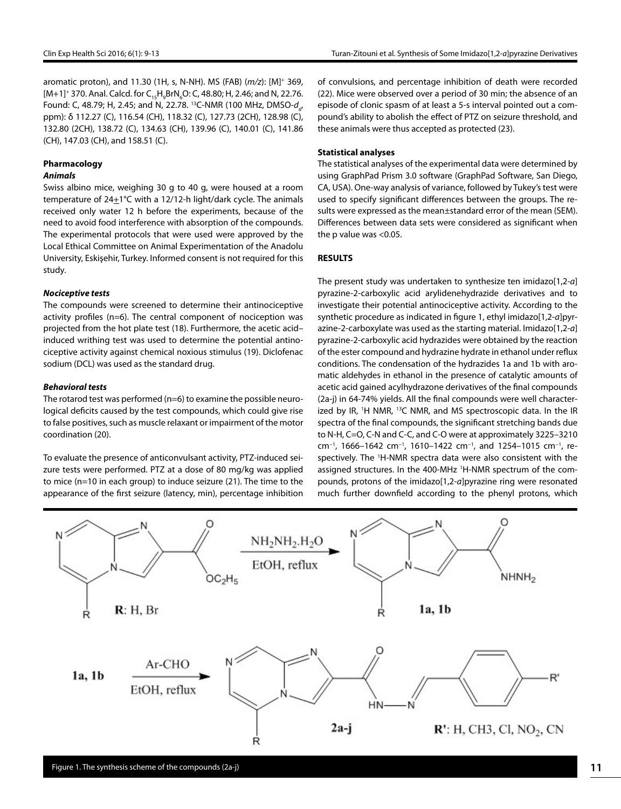aromatic proton), and 11.30 (1H, s, N-NH). MS (FAB) (*m/z*): [M]+ 369, [M+1]<sup>+</sup> 370. Anal. Calcd. for C<sub>15</sub>H<sub>9</sub>BrN<sub>6</sub>O: C, 48.80; H, 2.46; and N, 22.76. Found: C, 48.79; H, 2.45; and N, 22.78. <sup>13</sup>C-NMR (100 MHz, DMSO-d<sub>6</sub>, ppm): δ 112.27 (C), 116.54 (CH), 118.32 (C), 127.73 (2CH), 128.98 (C), 132.80 (2CH), 138.72 (C), 134.63 (CH), 139.96 (C), 140.01 (C), 141.86 (CH), 147.03 (CH), and 158.51 (C).

# **Pharmacology**

# *Animals*

Swiss albino mice, weighing 30 g to 40 g, were housed at a room temperature of 24+1°C with a 12/12-h light/dark cycle. The animals received only water 12 h before the experiments, because of the need to avoid food interference with absorption of the compounds. The experimental protocols that were used were approved by the Local Ethical Committee on Animal Experimentation of the Anadolu University, Eskişehir, Turkey. Informed consent is not required for this study.

### *Nociceptive tests*

The compounds were screened to determine their antinociceptive activity profiles (n=6). The central component of nociception was projected from the hot plate test (18). Furthermore, the acetic acid– induced writhing test was used to determine the potential antinociceptive activity against chemical noxious stimulus (19). Diclofenac sodium (DCL) was used as the standard drug.

#### *Behavioral tests*

The rotarod test was performed (n=6) to examine the possible neurological deficits caused by the test compounds, which could give rise to false positives, such as muscle relaxant or impairment of the motor coordination (20).

To evaluate the presence of anticonvulsant activity, PTZ-induced seizure tests were performed. PTZ at a dose of 80 mg/kg was applied to mice (n=10 in each group) to induce seizure (21). The time to the appearance of the first seizure (latency, min), percentage inhibition

of convulsions, and percentage inhibition of death were recorded (22). Mice were observed over a period of 30 min; the absence of an episode of clonic spasm of at least a 5-s interval pointed out a compound's ability to abolish the effect of PTZ on seizure threshold, and these animals were thus accepted as protected (23).

#### **Statistical analyses**

The statistical analyses of the experimental data were determined by using GraphPad Prism 3.0 software (GraphPad Software, San Diego, CA, USA). One-way analysis of variance, followed by Tukey's test were used to specify significant differences between the groups. The results were expressed as the mean±standard error of the mean (SEM). Differences between data sets were considered as significant when the p value was <0.05.

### **RESULTS**

The present study was undertaken to synthesize ten imidazo[1,2-*a*] pyrazine-2-carboxylic acid arylidenehydrazide derivatives and to investigate their potential antinociceptive activity. According to the synthetic procedure as indicated in figure 1, ethyl imidazo[1,2-*a*]pyrazine-2-carboxylate was used as the starting material. Imidazo[1,2-*a*] pyrazine-2-carboxylic acid hydrazides were obtained by the reaction of the ester compound and hydrazine hydrate in ethanol under reflux conditions. The condensation of the hydrazides 1a and 1b with aromatic aldehydes in ethanol in the presence of catalytic amounts of acetic acid gained acylhydrazone derivatives of the final compounds (2a-j) in 64-74% yields. All the final compounds were well characterized by IR, <sup>1</sup>H NMR, <sup>13</sup>C NMR, and MS spectroscopic data. In the IR spectra of the final compounds, the significant stretching bands due to N-H, C=O, C-N and C-C, and C-O were at approximately 3225–3210 cm−1, 1666–1642 cm−1, 1610–1422 cm−1, and 1254–1015 cm−1, respectively. The 1 H-NMR spectra data were also consistent with the assigned structures. In the 400-MHz <sup>1</sup>H-NMR spectrum of the compounds, protons of the imidazo[1,2-*a*]pyrazine ring were resonated much further downfield according to the phenyl protons, which

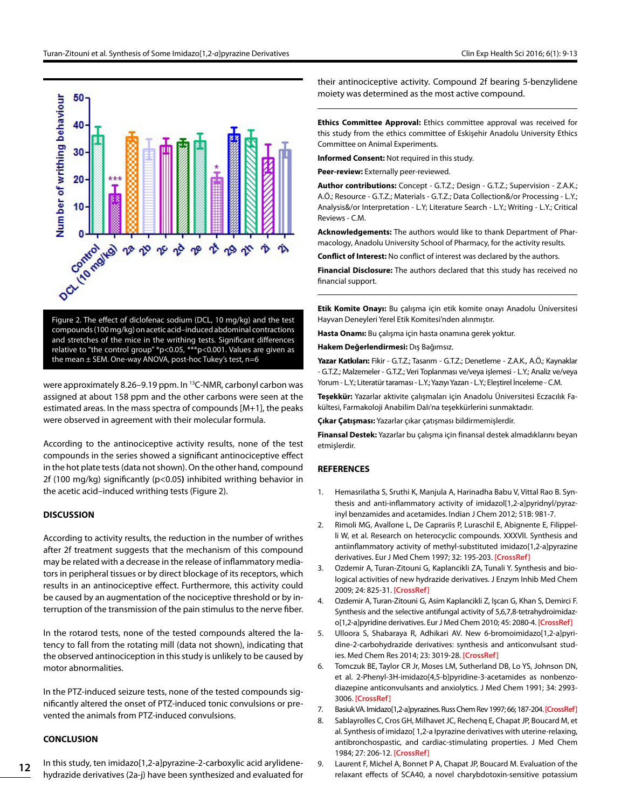

Figure 2. The effect of diclofenac sodium (DCL, 10 mg/kg) and the test compounds (100 mg/kg) on acetic acid–induced abdominal contractions and stretches of the mice in the writhing tests. Significant differences relative to "the control group" \*p<0.05, \*\*\*p<0.001. Values are given as the mean ± SEM. One-way ANOVA, post-hoc Tukey's test, n=6

were approximately 8.26-9.19 ppm. In <sup>13</sup>C-NMR, carbonyl carbon was assigned at about 158 ppm and the other carbons were seen at the estimated areas. In the mass spectra of compounds [M+1], the peaks were observed in agreement with their molecular formula.

According to the antinociceptive activity results, none of the test compounds in the series showed a significant antinociceptive effect in the hot plate tests (data not shown). On the other hand, compound 2f (100 mg/kg) significantly (p<0.05**)** inhibited writhing behavior in the acetic acid–induced writhing tests (Figure 2).

#### **DISCUSSION**

According to activity results, the reduction in the number of writhes after 2f treatment suggests that the mechanism of this compound may be related with a decrease in the release of inflammatory mediators in peripheral tissues or by direct blockage of its receptors, which results in an antinociceptive effect. Furthermore, this activity could be caused by an augmentation of the nociceptive threshold or by interruption of the transmission of the pain stimulus to the nerve fiber.

In the rotarod tests, none of the tested compounds altered the latency to fall from the rotating mill (data not shown), indicating that the observed antinociception in this study is unlikely to be caused by motor abnormalities.

In the PTZ-induced seizure tests, none of the tested compounds significantly altered the onset of PTZ-induced tonic convulsions or prevented the animals from PTZ-induced convulsions.

#### **CONCLUSION**

**12**

In this study, ten imidazo[1,2-a]pyrazine-2-carboxylic acid arylidenehydrazide derivatives (2a-j) have been synthesized and evaluated for their antinociceptive activity. Compound 2f bearing 5-benzylidene moiety was determined as the most active compound.

**Ethics Committee Approval:** Ethics committee approval was received for this study from the ethics committee of Eskişehir Anadolu University Ethics Committee on Animal Experiments.

**Informed Consent:** Not required in this study.

**Peer-review:** Externally peer-reviewed.

**Author contributions:** Concept - G.T.Z.; Design - G.T.Z.; Supervision - Z.A.K.; A.Ö.; Resource - G.T.Z.; Materials - G.T.Z.; Data Collection&/or Processing - L.Y.; Analysis&/or Interpretation - L.Y; Literature Search - L.Y.; Writing - L.Y.; Critical Reviews - C.M.

**Acknowledgements:** The authors would like to thank Department of Pharmacology, Anadolu University School of Pharmacy, for the activity results.

**Conflict of Interest:** No conflict of interest was declared by the authors.

**Financial Disclosure:** The authors declared that this study has received no financial support.

**Etik Komite Onayı:** Bu çalışma için etik komite onayı Anadolu Üniversitesi Hayvan Deneyleri Yerel Etik Komitesi'nden alınmıştır.

**Hasta Onamı:** Bu çalışma için hasta onamına gerek yoktur.

**Hakem Değerlendirmesi:** Dış Bağımsız.

**Yazar Katkıları:** Fikir - G.T.Z.; Tasarım - G.T.Z.; Denetleme - Z.A.K., A.Ö.; Kaynaklar - G.T.Z.; Malzemeler - G.T.Z.; Veri Toplanması ve/veya işlemesi - L.Y.; Analiz ve/veya Yorum - L.Y.; Literatür taraması - L.Y.; Yazıyı Yazan - L.Y.; Eleştirel İnceleme - C.M.

**Teşekkür:** Yazarlar aktivite çalışmaları için Anadolu Üniversitesi Eczacılık Fakültesi, Farmakoloji Anabilim Dalı'na teşekkürlerini sunmaktadır.

**Çıkar Çatışması:** Yazarlar çıkar çatışması bildirmemişlerdir.

**Finansal Destek:** Yazarlar bu çalışma için finansal destek almadıklarını beyan etmişlerdir.

#### **REFERENCES**

- 1. Hemasrilatha S, Sruthi K, Manjula A, Harinadha Babu V, Vittal Rao B. Synthesis and anti-inflammatory activity of imidazol[1,2-a]pyridnyl/pyrazinyl benzamides and acetamides. Indian J Chem 2012; 51B: 981-7.
- 2. Rimoli MG, Avallone L, De Caprariis P, Luraschil E, Abignente E, Filippelli W, et al. Research on heterocyclic compounds. XXXVlI. Synthesis and antiinflammatory activity of methyl-substituted imidazo[1,2-a]pyrazine derivatives. Eur J Med Chem 1997; 32: 195-203. **[\[CrossRef\]](http://dx.doi.org/10.1016/S0223-5234(97)83971-2)**
- 3. Ozdemir A, Turan-Zitouni G, Kaplancikli ZA, Tunali Y. Synthesis and biological activities of new hydrazide derivatives. J Enzym Inhib Med Chem 2009; 24: 825-31. **[\[CrossRef\]](http://dx.doi.org/10.1080/14756360802399712)**
- 4. Ozdemir A, Turan-Zitouni G, Asim Kaplancikli Z, Işcan G, Khan S, Demirci F. Synthesis and the selective antifungal activity of 5,6,7,8-tetrahydroimidazo[1,2-a]pyridine derivatives. Eur J Med Chem 2010; 45: 2080-4. **[\[CrossRef\]](http://dx.doi.org/10.1016/j.ejmech.2009.12.023)**
- 5. Ulloora S, Shabaraya R, Adhikari AV. New 6-bromoimidazo[1,2-a]pyridine-2-carbohydrazide derivatives: synthesis and anticonvulsant studies. Med Chem Res 2014; 23: 3019-28. **[\[CrossRef\]](http://dx.doi.org/10.1007/s00044-013-0887-7)**
- 6. Tomczuk BE, Taylor CR Jr, Moses LM, Sutherland DB, Lo YS, Johnson DN, et al. 2-Phenyl-3H-imidazo[4,5-b]pyridine-3-acetamides as nonbenzodiazepine anticonvulsants and anxiolytics. J Med Chem 1991; 34: 2993- 3006. **[\[CrossRef\]](http://dx.doi.org/10.1021/jm00114a007)**
- 7. Basiuk VA. Imidazo[1,2-a]pyrazines. Russ Chem Rev 1997; 66; 187-204. **[\[CrossRef\]](http://dx.doi.org/10.1070/RC1997v066n03ABEH000325)**
- 8. Sablayrolles C, Cros GH, Milhavet JC, Rechenq E, Chapat JP, Boucard M, et al. Synthesis of imidazo[ 1,2-a Ipyrazine derivatives with uterine-relaxing, antibronchospastic, and cardiac-stimulating properties. J Med Chem 1984; 27: 206-12. **[\[CrossRef\]](http://dx.doi.org/10.1021/jm00368a018)**
- 9. Laurent F, Michel A, Bonnet P A, Chapat JP, Boucard M. Evaluation of the relaxant effects of SCA40, a novel charybdotoxin-sensitive potassium